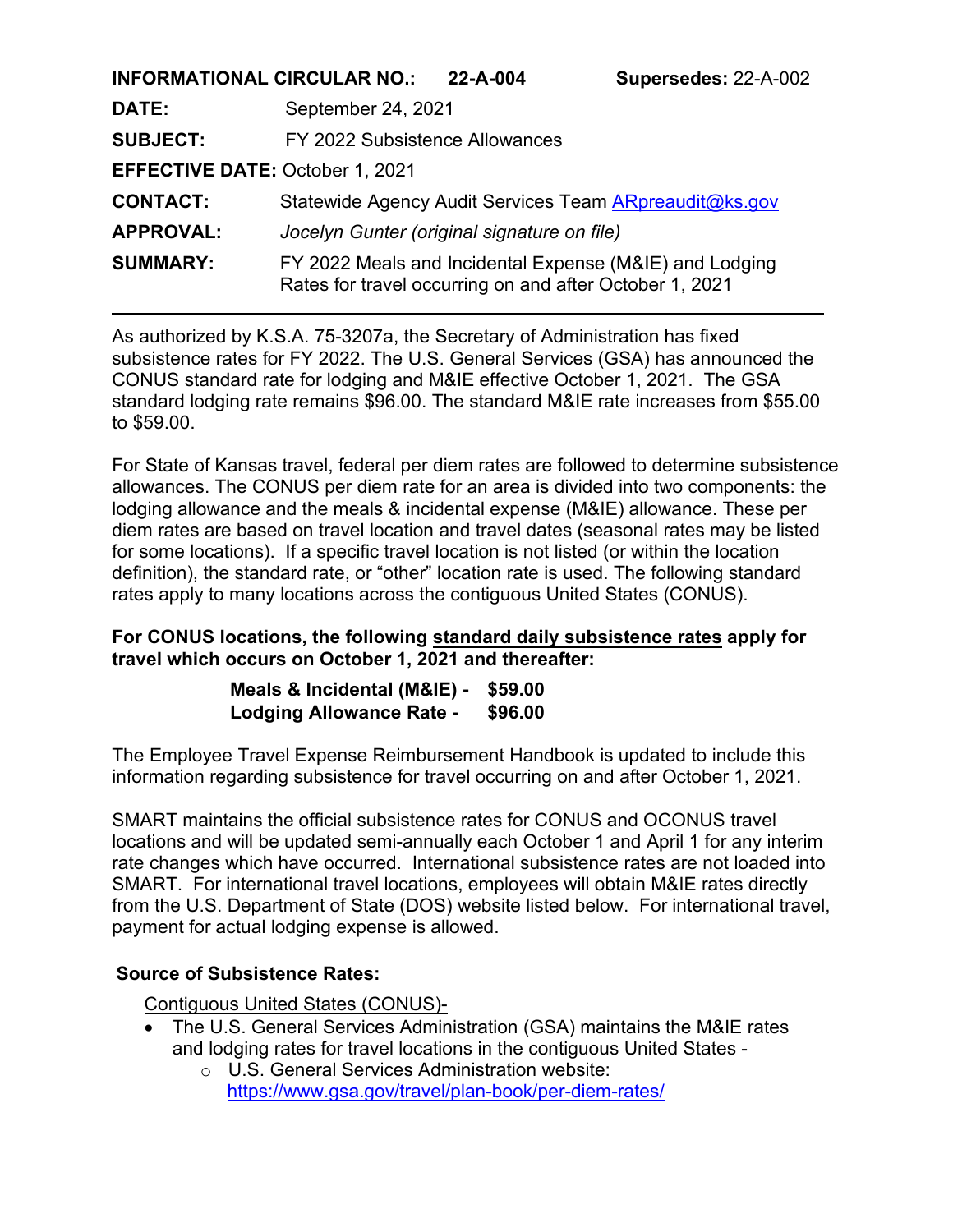| <b>INFORMATIONAL CIRCULAR NO.:</b>     |                                                        | 22-A-004                                                                                                           | Supersedes: 22-A-002 |  |
|----------------------------------------|--------------------------------------------------------|--------------------------------------------------------------------------------------------------------------------|----------------------|--|
| DATE:                                  | September 24, 2021                                     |                                                                                                                    |                      |  |
| <b>SUBJECT:</b>                        | FY 2022 Subsistence Allowances                         |                                                                                                                    |                      |  |
| <b>EFFECTIVE DATE: October 1, 2021</b> |                                                        |                                                                                                                    |                      |  |
| <b>CONTACT:</b>                        | Statewide Agency Audit Services Team ARpreaudit@ks.gov |                                                                                                                    |                      |  |
| <b>APPROVAL:</b>                       | Jocelyn Gunter (original signature on file)            |                                                                                                                    |                      |  |
| <b>SUMMARY:</b>                        |                                                        | FY 2022 Meals and Incidental Expense (M&IE) and Lodging<br>Rates for travel occurring on and after October 1, 2021 |                      |  |

As authorized by K.S.A. 75-3207a, the Secretary of Administration has fixed subsistence rates for FY 2022. The U.S. General Services (GSA) has announced the CONUS standard rate for lodging and M&IE effective October 1, 2021. The GSA standard lodging rate remains \$96.00. The standard M&IE rate increases from \$55.00 to \$59.00.

For State of Kansas travel, federal per diem rates are followed to determine subsistence allowances. The CONUS per diem rate for an area is divided into two components: the lodging allowance and the meals & incidental expense (M&IE) allowance. These per diem rates are based on travel location and travel dates (seasonal rates may be listed for some locations). If a specific travel location is not listed (or within the location definition), the standard rate, or "other" location rate is used. The following standard rates apply to many locations across the contiguous United States (CONUS).

### **For CONUS locations, the following standard daily subsistence rates apply for travel which occurs on October 1, 2021 and thereafter:**

| Meals & Incidental (M&IE) -     | \$59.00 |
|---------------------------------|---------|
| <b>Lodging Allowance Rate -</b> | \$96.00 |

The Employee Travel Expense Reimbursement Handbook is updated to include this information regarding subsistence for travel occurring on and after October 1, 2021.

SMART maintains the official subsistence rates for CONUS and OCONUS travel locations and will be updated semi-annually each October 1 and April 1 for any interim rate changes which have occurred. International subsistence rates are not loaded into SMART. For international travel locations, employees will obtain M&IE rates directly from the U.S. Department of State (DOS) website listed below. For international travel, payment for actual lodging expense is allowed.

### **Source of Subsistence Rates:**

Contiguous United States (CONUS)-

- The U.S. General Services Administration (GSA) maintains the M&IE rates and lodging rates for travel locations in the contiguous United States
	- o U.S. General Services Administration website: <https://www.gsa.gov/travel/plan-book/per-diem-rates/>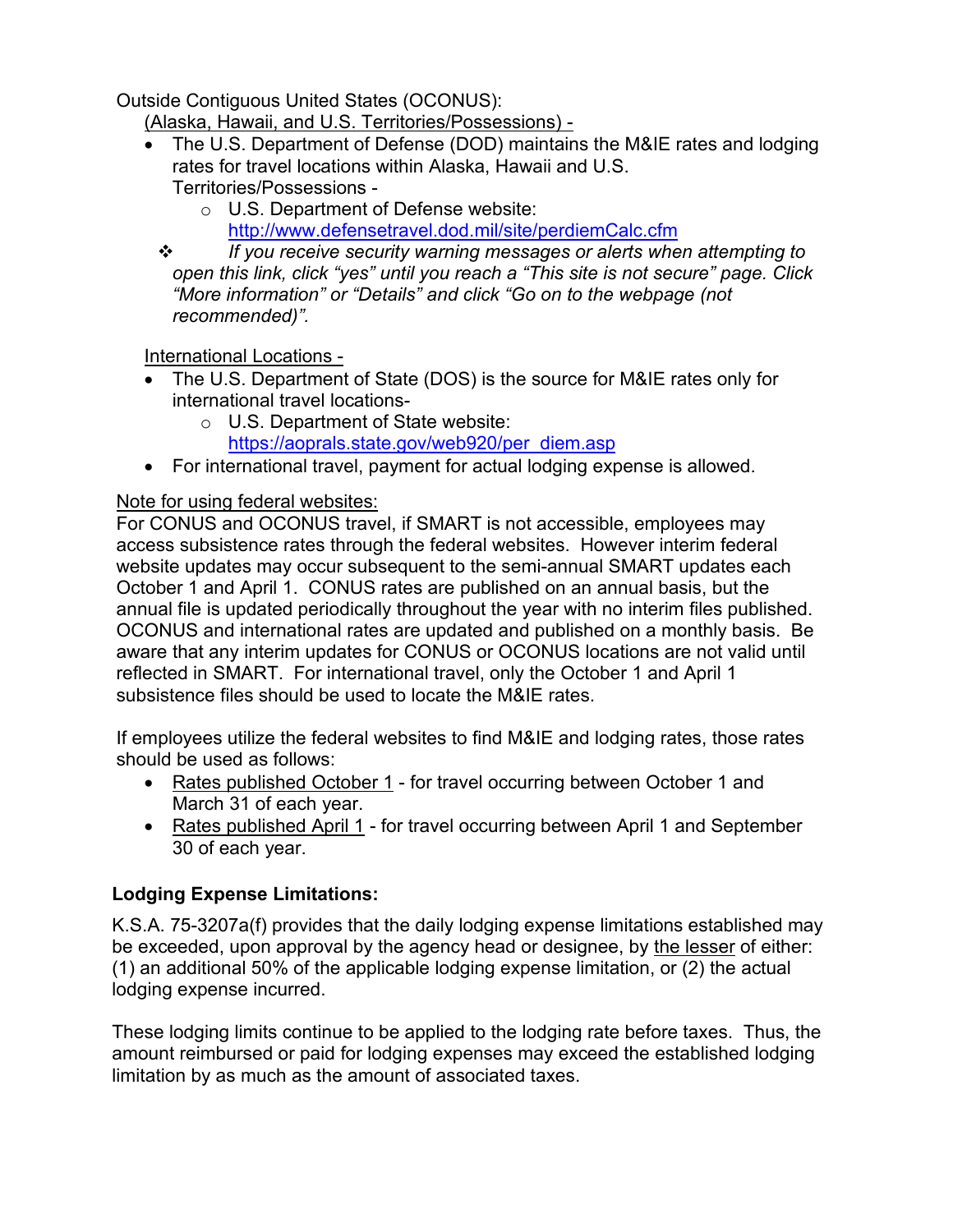Outside Contiguous United States (OCONUS):

(Alaska, Hawaii, and U.S. Territories/Possessions) -

- The U.S. Department of Defense (DOD) maintains the M&IE rates and lodging rates for travel locations within Alaska, Hawaii and U.S. Territories/Possessions
	- o U.S. Department of Defense website:
		- <http://www.defensetravel.dod.mil/site/perdiemCalc.cfm>

 *If you receive security warning messages or alerts when attempting to open this link, click "yes" until you reach a "This site is not secure" page. Click "More information" or "Details" and click "Go on to the webpage (not recommended)".*

International Locations -

- The U.S. Department of State (DOS) is the source for M&IE rates only for international travel locations
	- o U.S. Department of State website:
- [https://aoprals.state.gov/web920/per\\_diem.asp](https://aoprals.state.gov/web920/per_diem.asp) • For international travel, payment for actual lodging expense is allowed.

## Note for using federal websites:

For CONUS and OCONUS travel, if SMART is not accessible, employees may access subsistence rates through the federal websites. However interim federal website updates may occur subsequent to the semi-annual SMART updates each October 1 and April 1. CONUS rates are published on an annual basis, but the annual file is updated periodically throughout the year with no interim files published. OCONUS and international rates are updated and published on a monthly basis. Be aware that any interim updates for CONUS or OCONUS locations are not valid until reflected in SMART. For international travel, only the October 1 and April 1 subsistence files should be used to locate the M&IE rates.

If employees utilize the federal websites to find M&IE and lodging rates, those rates should be used as follows:

- Rates published October 1 for travel occurring between October 1 and March 31 of each year.
- Rates published April 1 for travel occurring between April 1 and September 30 of each year.

# **Lodging Expense Limitations:**

K.S.A. 75-3207a(f) provides that the daily lodging expense limitations established may be exceeded, upon approval by the agency head or designee, by the lesser of either: (1) an additional 50% of the applicable lodging expense limitation, or (2) the actual lodging expense incurred.

These lodging limits continue to be applied to the lodging rate before taxes. Thus, the amount reimbursed or paid for lodging expenses may exceed the established lodging limitation by as much as the amount of associated taxes.